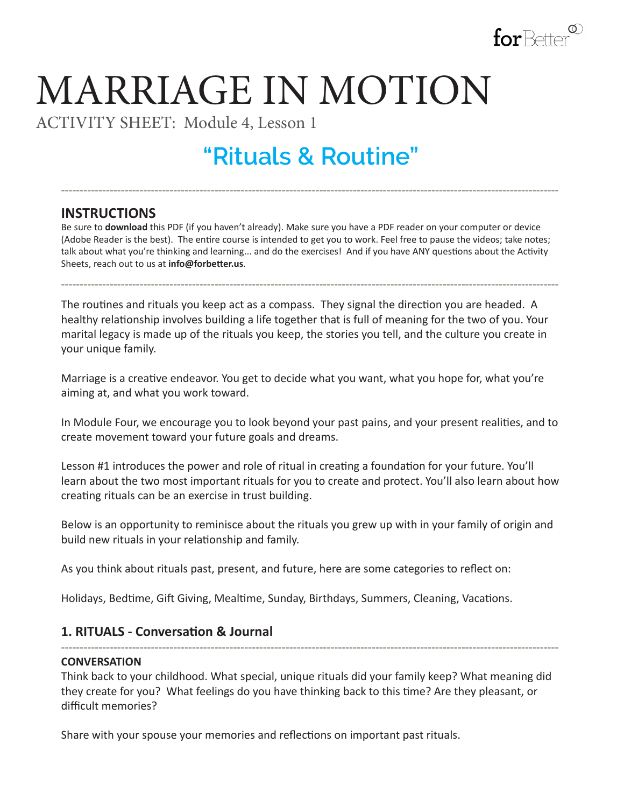

# MARRIAGE IN MOTION

ACTIVITY SHEET: Module 4, Lesson 1

## **"Rituals & Routine"**

**-------------------------------------------------------------------------------------------------------------------------------------**

### **INSTRUCTIONS**

Be sure to **download** this PDF (if you haven't already). Make sure you have a PDF reader on your computer or device (Adobe Reader is the best). The entire course is intended to get you to work. Feel free to pause the videos; take notes; talk about what you're thinking and learning... and do the exercises! And if you have ANY questions about the Activity Sheets, reach out to us at **info@forbetter.us**.

**-------------------------------------------------------------------------------------------------------------------------------------**

The routines and rituals you keep act as a compass. They signal the direction you are headed. A healthy relationship involves building a life together that is full of meaning for the two of you. Your marital legacy is made up of the rituals you keep, the stories you tell, and the culture you create in your unique family.

Marriage is a creative endeavor. You get to decide what you want, what you hope for, what you're aiming at, and what you work toward.

In Module Four, we encourage you to look beyond your past pains, and your present realities, and to create movement toward your future goals and dreams.

Lesson #1 introduces the power and role of ritual in creating a foundation for your future. You'll learn about the two most important rituals for you to create and protect. You'll also learn about how creating rituals can be an exercise in trust building.

Below is an opportunity to reminisce about the rituals you grew up with in your family of origin and build new rituals in your relationship and family.

As you think about rituals past, present, and future, here are some categories to reflect on:

Holidays, Bedtime, Gift Giving, Mealtime, Sunday, Birthdays, Summers, Cleaning, Vacations.

#### **1. RITUALS - Conversation & Journal**

#### **CONVERSATION**

Think back to your childhood. What special, unique rituals did your family keep? What meaning did they create for you? What feelings do you have thinking back to this time? Are they pleasant, or difficult memories?

**-------------------------------------------------------------------------------------------------------------------------------------**

Share with your spouse your memories and reflections on important past rituals.